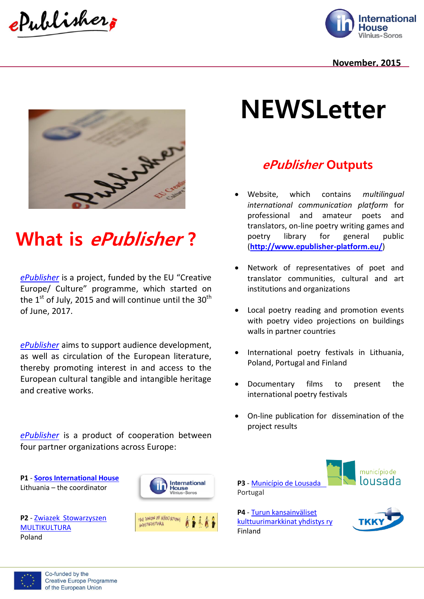ePublisher



#### **November, 2015**



## **What is ePublisher ?**

*[ePublisher](http://www.epublisher-platform.eu/)* is a project, funded by the EU "Creative Europe/ Culture" programme, which started on the  $1<sup>st</sup>$  of July, 2015 and will continue until the 30<sup>th</sup> of June, 2017.

*[ePublisher](http://www.epublisher-platform.eu/)* aims to support audience development, as well as circulation of the European literature, thereby promoting interest in and access to the European cultural tangible and intangible heritage and creative works.

*[ePublisher](http://www.epublisher-platform.eu/)* is a product of cooperation between four partner organizations across Europe:

**P1** - **[Soros International House](http://sih.lt/?set_lang=en)** Lithuania – the coordinator

**P2** - [Zwiazek Stowarzyszen](http://multikultura.manifo.com/english)  [MULTIKULTURA](http://multikultura.manifo.com/english) Poland



# **NEWSLetter**

### **ePublisher Outputs**

- Website, which contains *multilingual international communication platform* for professional and amateur poets and translators, on-line poetry writing games and poetry library for general public (**<http://www.epublisher-platform.eu/>**)
- Network of representatives of poet and translator communities, cultural and art institutions and organizations
- Local poetry reading and promotion events with poetry video projections on buildings walls in partner countries
- International poetry festivals in Lithuania, Poland, Portugal and Finland
- Documentary films to present the international poetry festivals
- On-line publication for dissemination of the project results



**P4** - [Turun kansainväliset](http://semconsulting.fi/)  [kulttuurimarkkinat yhdistys ry](http://semconsulting.fi/) Finland